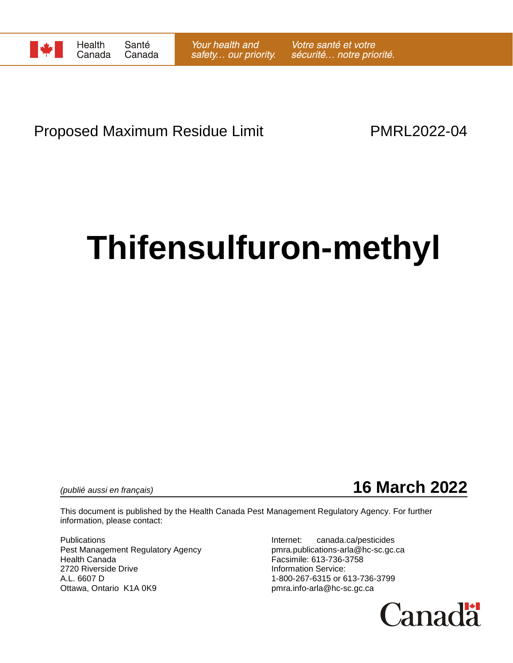

# Proposed Maximum Residue Limit **PMRL2022-04**

# **Thifensulfuron-methyl**



This document is published by the Health Canada Pest Management Regulatory Agency. For further information, please contact:

Publications **Internet:** canada.ca/pesticides Pest Management Regulatory Agency pmra.publications-arla@hc-sc.gc.ca Health Canada Facsimile: 613-736-3758 2720 Riverside Drive **Information Service:** A.L. 6607 D 1-800-267-6315 or 613-736-3799 Ottawa, Ontario K1A 0K9 **butter and the Contact of Contact Area** pmra.info-arla@hc-sc.gc.ca

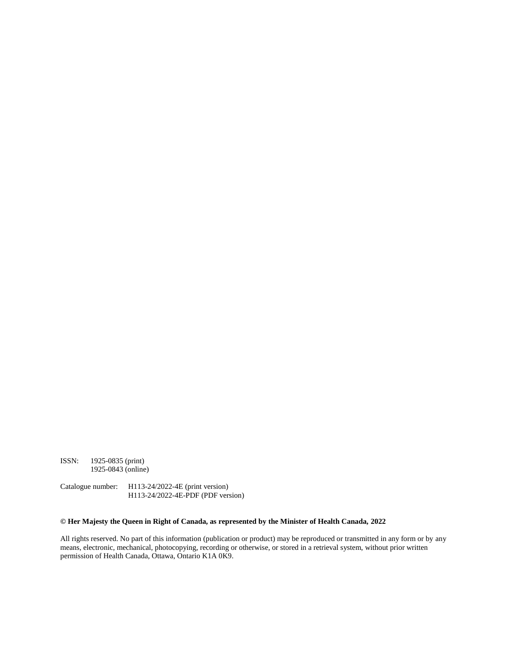ISSN: 1925-0835 (print) 1925-0843 (online)

Catalogue number: H113-24/2022-4E (print version) H113-24/2022-4E-PDF (PDF version)

#### **© Her Majesty the Queen in Right of Canada, as represented by the Minister of Health Canada, 2022**

All rights reserved. No part of this information (publication or product) may be reproduced or transmitted in any form or by any means, electronic, mechanical, photocopying, recording or otherwise, or stored in a retrieval system, without prior written permission of Health Canada, Ottawa, Ontario K1A 0K9.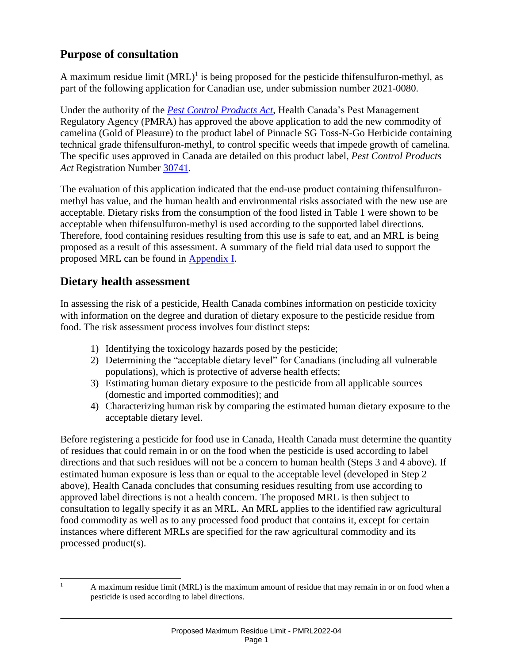## **Purpose of consultation**

A maximum residue limit  $(MRL)^{1}$  is being proposed for the pesticide thifensulfuron-methyl, as part of the following application for Canadian use, under submission number 2021-0080.

Under the authority of the *[Pest Control Products Act](https://laws-lois.justice.gc.ca/eng/acts/P-9.01/)*, Health Canada's Pest Management Regulatory Agency (PMRA) has approved the above application to add the new commodity of camelina (Gold of Pleasure) to the product label of Pinnacle SG Toss-N-Go Herbicide containing technical grade thifensulfuron-methyl, to control specific weeds that impede growth of camelina. The specific uses approved in Canada are detailed on this product label, *Pest Control Products Act* Registration Number [30741.](https://pr-rp.hc-sc.gc.ca/ls-re/index-eng.php)

The evaluation of this application indicated that the end-use product containing thifensulfuronmethyl has value, and the human health and environmental risks associated with the new use are acceptable. Dietary risks from the consumption of the food listed in Table 1 were shown to be acceptable when thifensulfuron-methyl is used according to the supported label directions. Therefore, food containing residues resulting from this use is safe to eat, and an MRL is being proposed as a result of this assessment. A summary of the field trial data used to support the proposed MRL can be found in Appendix I.

## **Dietary health assessment**

In assessing the risk of a pesticide, Health Canada combines information on pesticide toxicity with information on the degree and duration of dietary exposure to the pesticide residue from food. The risk assessment process involves four distinct steps:

- 1) Identifying the toxicology hazards posed by the pesticide;
- 2) Determining the "acceptable dietary level" for Canadians (including all vulnerable populations), which is protective of adverse health effects;
- 3) Estimating human dietary exposure to the pesticide from all applicable sources (domestic and imported commodities); and
- 4) Characterizing human risk by comparing the estimated human dietary exposure to the acceptable dietary level.

Before registering a pesticide for food use in Canada, Health Canada must determine the quantity of residues that could remain in or on the food when the pesticide is used according to label directions and that such residues will not be a concern to human health (Steps 3 and 4 above). If estimated human exposure is less than or equal to the acceptable level (developed in Step 2 above), Health Canada concludes that consuming residues resulting from use according to approved label directions is not a health concern. The proposed MRL is then subject to consultation to legally specify it as an MRL. An MRL applies to the identified raw agricultural food commodity as well as to any processed food product that contains it, except for certain instances where different MRLs are specified for the raw agricultural commodity and its processed product(s).

 $\mathbf{1}$ A maximum residue limit (MRL) is the maximum amount of residue that may remain in or on food when a pesticide is used according to label directions.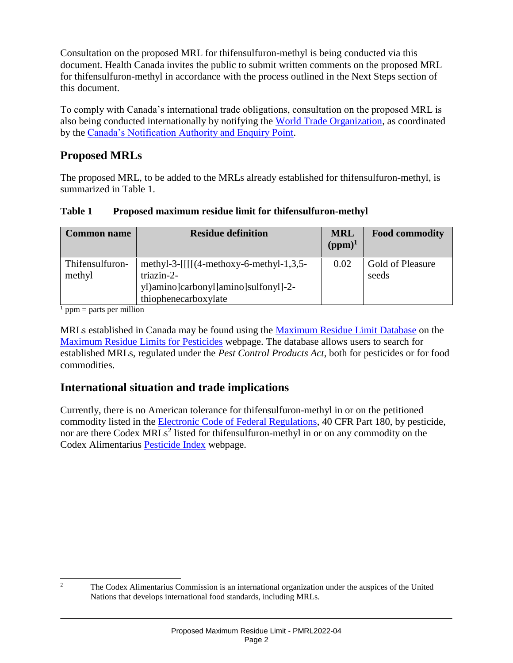Consultation on the proposed MRL for thifensulfuron-methyl is being conducted via this document. Health Canada invites the public to submit written comments on the proposed MRL for thifensulfuron-methyl in accordance with the process outlined in the Next Steps section of this document.

To comply with Canada's international trade obligations, consultation on the proposed MRL is also being conducted internationally by notifying the [World Trade Organization,](http://www.wto.org/) as coordinated by the [Canada's Notification Authority and Enquiry Point.](http://www.international.gc.ca/trade-agreements-accords-commerciaux/wto-omc/enquiry.aspx?lang=eng)

## **Proposed MRLs**

The proposed MRL, to be added to the MRLs already established for thifensulfuron-methyl, is summarized in Table 1.

| <b>Common name</b>        | <b>Residue definition</b>                                                                                               | <b>MRL</b><br>$(ppm)^1$ | <b>Food commodity</b>     |
|---------------------------|-------------------------------------------------------------------------------------------------------------------------|-------------------------|---------------------------|
| Thifensulfuron-<br>methyl | methyl-3- $[[[(4-methoxy-6-methy]-1,3,5-$<br>triazin-2-<br>yl)amino]carbonyl]amino]sulfonyl]-2-<br>thiophenecarboxylate | 0.02                    | Gold of Pleasure<br>seeds |

#### **Table 1 Proposed maximum residue limit for thifensulfuron-methyl**

 $<sup>1</sup>$  ppm = parts per million</sup>

MRLs established in Canada may be found using the [Maximum Residue Limit Database](http://pr-rp.hc-sc.gc.ca/mrl-lrm/index-eng.php) on the [Maximum Residue Limits for Pesticides](https://www.canada.ca/en/health-canada/services/consumer-product-safety/pesticides-pest-management/public/protecting-your-health-environment/pesticides-food/maximum-residue-limits-pesticides.html) webpage. The database allows users to search for established MRLs, regulated under the *Pest Control Products Act*, both for pesticides or for food commodities.

## **International situation and trade implications**

Currently, there is no American tolerance for thifensulfuron-methyl in or on the petitioned commodity listed in the [Electronic Code of Federal Regulations,](https://www.ecfr.gov/current/title-40/chapter-I/subchapter-E/part-180) 40 CFR Part 180, by pesticide, nor are there Codex MRLs<sup>2</sup> listed for thifensulfuron-methyl in or on any commodity on the Codex Alimentarius [Pesticide Index](http://www.fao.org/fao-who-codexalimentarius/codex-texts/dbs/pestres/pesticides/en/) webpage.

 $\overline{c}$ <sup>2</sup> The Codex Alimentarius Commission is an international organization under the auspices of the United Nations that develops international food standards, including MRLs.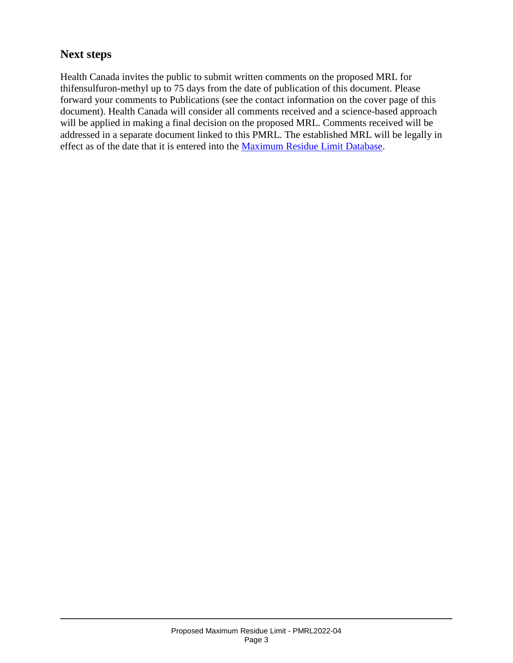## **Next steps**

Health Canada invites the public to submit written comments on the proposed MRL for thifensulfuron-methyl up to 75 days from the date of publication of this document. Please forward your comments to Publications (see the contact information on the cover page of this document). Health Canada will consider all comments received and a science-based approach will be applied in making a final decision on the proposed MRL. Comments received will be addressed in a separate document linked to this PMRL. The established MRL will be legally in effect as of the date that it is entered into the [Maximum Residue Limit Database.](http://pr-rp.hc-sc.gc.ca/mrl-lrm/index-eng.php)